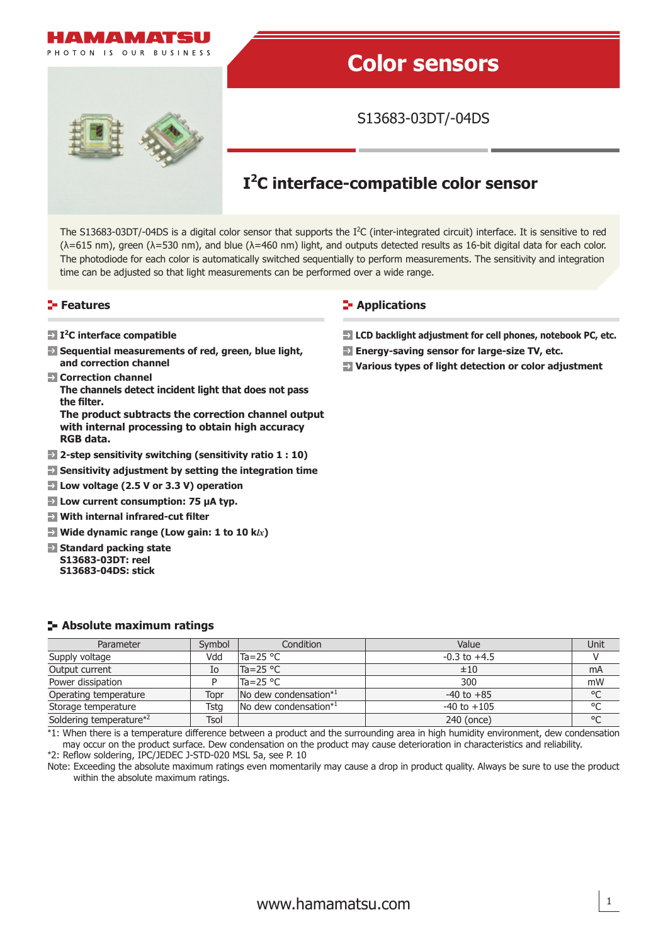

# **Color sensors**

S13683-03DT/-04DS

# **I2C interface-compatible color sensor**

The S13683-03DT/-04DS is a digital color sensor that supports the  $I<sup>2</sup>C$  (inter-integrated circuit) interface. It is sensitive to red  $(\lambda=615 \text{ nm})$ , green  $(\lambda=530 \text{ nm})$ , and blue  $(\lambda=460 \text{ nm})$  light, and outputs detected results as 16-bit digital data for each color. The photodiode for each color is automatically switched sequentially to perform measurements. The sensitivity and integration time can be adjusted so that light measurements can be performed over a wide range.

#### **Features**

**RGB data.**

#### **E-** Applications

- **I2C interface compatible**
- **E** Sequential measurements of red, green, blue light, **and correction channel**
- **Correction channel The channels detect incident light that does not pass**  the filter. **The product subtracts the correction channel output with internal processing to obtain high accuracy**
- **2-step sensitivity switching (sensitivity ratio 1 : 10)**
- **Sensitivity adjustment by setting the integration time**
- **Low voltage (2.5 V or 3.3 V) operation**
- **Low current consumption: 75 μA typ.**
- $\rightarrow$  **With internal infrared-cut filter**
- **Wide dynamic range (Low gain: 1 to 10 k***lx***)**
- **Standard packing state S13683-03DT: reel S13683-04DS: stick**
	-

- **LCD backlight adjustment for cell phones, notebook PC, etc.**
- **Energy-saving sensor for large-size TV, etc.**
- **Various types of light detection or color adjustment**

#### **Absolute maximum ratings**

| Parameter               | Symbol | Condition                                 | Value            | Unit         |
|-------------------------|--------|-------------------------------------------|------------------|--------------|
| Supply voltage          | Vdd    | Ta=25 $^{\circ}$ C                        | $-0.3$ to $+4.5$ |              |
| Output current          | Ιo     | $Ta = 25 °C$                              | ±10              | mA           |
| Power dissipation       |        | Ta=25 °C                                  | 300              | mW           |
| Operating temperature   | Topr   | $\sqrt{N}$ dew condensation <sup>*1</sup> | $-40$ to $+85$   | $^{\circ}$ C |
| Storage temperature     | Tsta   | No dew condensation*1                     | $-40$ to $+105$  | °C           |
| Soldering temperature*2 | Tsol   |                                           | 240 (once)       | $^{\circ}$ C |

\*1: When there is a temperature difference between a product and the surrounding area in high humidity environment, dew condensation may occur on the product surface. Dew condensation on the product may cause deterioration in characteristics and reliability.

\*2: Reflow soldering, IPC/JEDEC J-STD-020 MSL 5a, see P. 10

Note: Exceeding the absolute maximum ratings even momentarily may cause a drop in product quality. Always be sure to use the product within the absolute maximum ratings.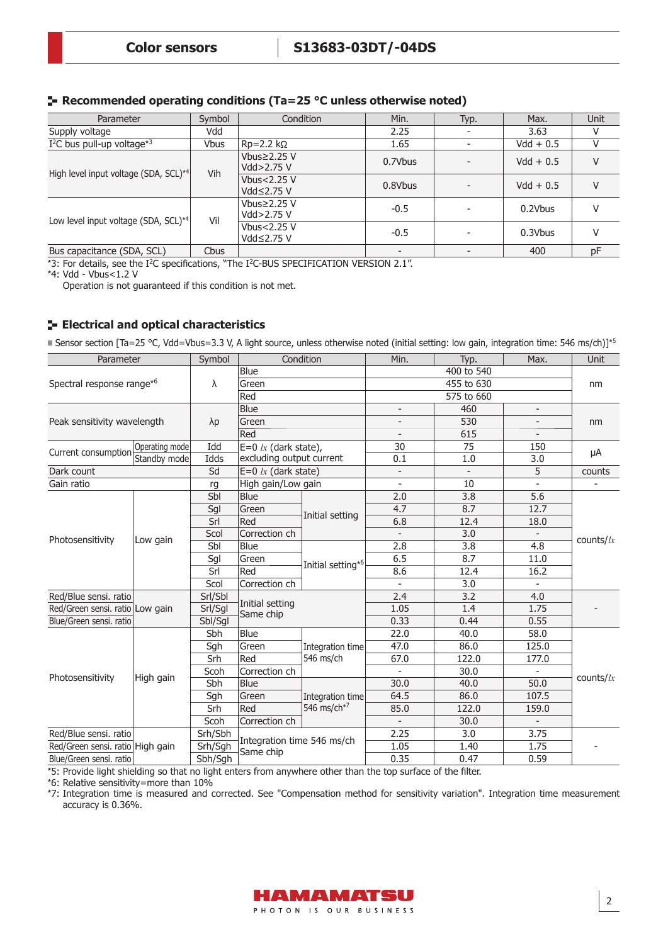# **Recommended operating conditions (Ta=25 °C unless otherwise noted)**

| Parameter                                         | Symbol      | Condition                        | Min.    | Typ. | Max.        | Unit |
|---------------------------------------------------|-------------|----------------------------------|---------|------|-------------|------|
| Supply voltage                                    | Vdd         |                                  | 2.25    |      | 3.63        | V    |
| $I2C$ bus pull-up voltage <sup>*3</sup>           | <b>Vbus</b> | $Rp=2.2 k\Omega$                 | 1.65    |      | $Vdd + 0.5$ | V    |
|                                                   | Vih         | Vbus $\geq$ 2.25 V<br>Vdd>2.75 V | 0.7Vbus |      | $Vdd + 0.5$ | V    |
| High level input voltage (SDA, SCL) <sup>*4</sup> |             | Vbus<2.25 V<br>Vdd≤2.75 V        | 0.8Vbus |      | $Vdd + 0.5$ | V    |
| Low level input voltage (SDA, SCL) <sup>*4</sup>  | Vil         | Vbus $\geq$ 2.25 V<br>Vdd>2.75 V | $-0.5$  |      | 0.2Vbus     | V    |
|                                                   |             | Vbus<2.25 V<br>Vdd≤2.75 V        | $-0.5$  |      | 0.3Vbus     | V    |
| Bus capacitance (SDA, SCL)                        | Cbus        |                                  |         |      | 400         | pF   |

 $*3$ : For details, see the I<sup>2</sup>C specifications, "The I<sup>2</sup>C-BUS SPECIFICATION VERSION 2.1".

\*4: Vdd - Vbus<1.2 V

Operation is not guaranteed if this condition is not met.

# **Electrical and optical characteristics**

■ Sensor section [Ta=25 °C, Vdd=Vbus=3.3 V, A light source, unless otherwise noted (initial setting: low gain, integration time: 546 ms/ch)]\*5

| Parameter                             |                | Symbol      |                              | Condition                     | Min.                     | Typ.       | Max.                     | Unit         |  |
|---------------------------------------|----------------|-------------|------------------------------|-------------------------------|--------------------------|------------|--------------------------|--------------|--|
|                                       |                |             | <b>Blue</b>                  |                               |                          | 400 to 540 |                          |              |  |
| Spectral response range* <sup>6</sup> |                | $\lambda$   | Green                        |                               |                          | 455 to 630 |                          | nm           |  |
|                                       |                |             | Red                          |                               |                          | 575 to 660 |                          |              |  |
|                                       |                |             | <b>Blue</b>                  |                               | $\overline{\phantom{a}}$ | 460        | $\overline{\phantom{a}}$ |              |  |
| Peak sensitivity wavelength           |                | $\lambda p$ | Green                        |                               |                          | 530        |                          | nm           |  |
|                                       |                |             | Red                          |                               |                          | 615        |                          |              |  |
| Current consumption                   | Operating mode | Idd         | $E=0$ lx (dark state),       |                               | 30                       | 75         | 150                      |              |  |
|                                       | Standby mode   | Idds        | excluding output current     |                               | 0.1                      | 1.0        | 3.0                      | μA           |  |
| Dark count                            |                | Sd          | $E=0$ lx (dark state)        |                               |                          |            | 5                        | counts       |  |
| Gain ratio                            |                | rg          | High gain/Low gain           |                               |                          | 10         |                          |              |  |
|                                       |                | Sbl         | <b>Blue</b>                  |                               | 2.0                      | 3.8        | 5.6                      |              |  |
|                                       |                | Sgl         | Green                        |                               | 4.7                      | 8.7        | 12.7                     |              |  |
|                                       |                | Srl         | Red                          | Initial setting               | 6.8                      | 12.4       | 18.0                     |              |  |
|                                       |                | Scol        | Correction ch                |                               |                          | 3.0        |                          |              |  |
| Photosensitivity                      | Low gain       | Sbl         | <b>Blue</b>                  |                               | 2.8                      | 3.8        | 4.8                      | counts/ $lx$ |  |
|                                       |                | Sgl         | Green                        | Initial setting* <sup>6</sup> | 6.5                      | 8.7        | 11.0                     |              |  |
|                                       |                | Srl         | Red                          |                               | 8.6                      | 12.4       | 16.2                     |              |  |
|                                       |                | Scol        | Correction ch                |                               |                          | 3.0        |                          |              |  |
| Red/Blue sensi. ratio                 |                | Srl/Sbl     |                              |                               | 2.4                      | 3.2        | 4.0                      |              |  |
| Red/Green sensi. ratio Low gain       |                | Srl/Sgl     | Initial setting<br>Same chip |                               | 1.05                     | 1.4        | 1.75                     |              |  |
| Blue/Green sensi. ratio               |                | Sbl/Sgl     |                              |                               | 0.33                     | 0.44       | 0.55                     |              |  |
|                                       |                | Sbh         | Blue                         |                               | 22.0                     | 40.0       | 58.0                     |              |  |
|                                       |                | Sgh         | Green                        | Integration time              | 47.0                     | 86.0       | 125.0                    |              |  |
|                                       |                | Srh         | Red                          | 546 ms/ch                     | 67.0                     | 122.0      | 177.0                    |              |  |
| Photosensitivity                      | High gain      | Scoh        | Correction ch                |                               |                          | 30.0       |                          | counts/k     |  |
|                                       |                | Sbh         | <b>Blue</b>                  |                               | 30.0                     | 40.0       | 50.0                     |              |  |
|                                       |                | Sgh         | Green                        | Integration time              | 64.5                     | 86.0       | 107.5                    |              |  |
|                                       |                | Srh         | Red                          | 546 ms/ch <sup>*7</sup>       | 85.0                     | 122.0      | 159.0                    |              |  |
|                                       |                | Scoh        | Correction ch                |                               |                          | 30.0       |                          |              |  |
| Red/Blue sensi. ratio                 |                | Srh/Sbh     |                              |                               | 2.25                     | 3.0        | 3.75                     |              |  |
| Red/Green sensi. ratio High gain      |                | Srh/Sgh     | Integration time 546 ms/ch   |                               | 1.05                     | 1.40       | 1.75                     |              |  |
| Blue/Green sensi, ratio               |                | Sbh/Sgh     | Same chip                    |                               | 0.35                     | 0.47       | 0.59                     |              |  |

\*5: Provide light shielding so that no light enters from anywhere other than the top surface of the filter.

\*6: Relative sensitivity=more than 10%

\*7: Integration time is measured and corrected. See "Compensation method for sensitivity variation". Integration time measurement accuracy is 0.36%.

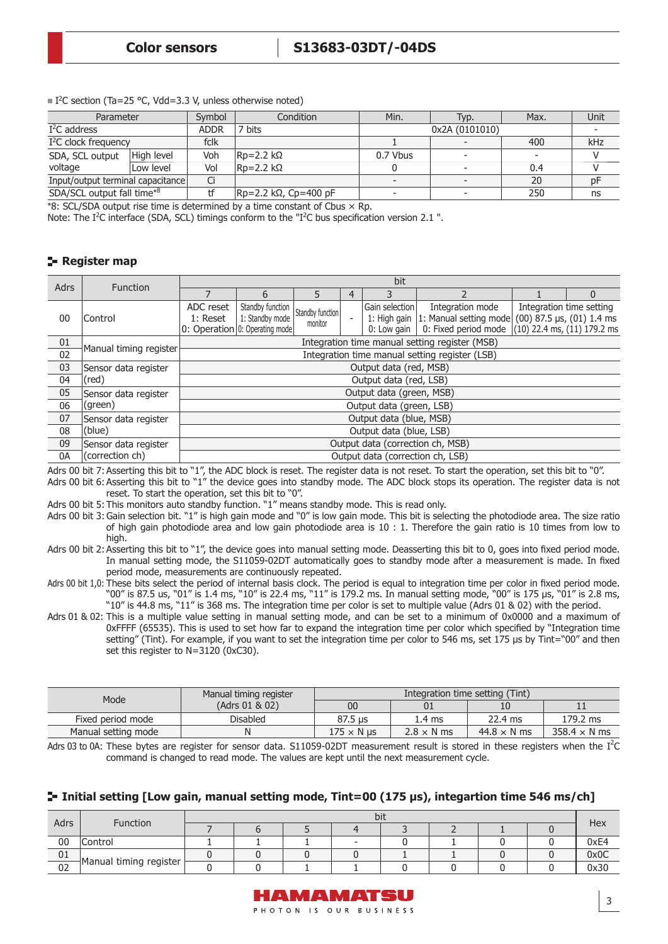| Parameter                  | Symbol      | Condition                                 | Min.                                                              | Typ. | Max.           | Unit |
|----------------------------|-------------|-------------------------------------------|-------------------------------------------------------------------|------|----------------|------|
|                            | <b>ADDR</b> | <sup>7</sup> bits                         |                                                                   |      |                |      |
| $1^2C$ clock frequency     |             |                                           |                                                                   |      | 400            | kHz  |
| High level                 | Voh         |                                           | 0.7 Vbus                                                          |      |                |      |
| Low level                  | Vol         |                                           |                                                                   |      | 0.4            |      |
|                            | Ci          |                                           | $\overline{\phantom{0}}$                                          |      | 20             | рF   |
| SDA/SCL output fall time*8 |             |                                           |                                                                   |      | 250            | ns   |
|                            |             | fclk<br>Input/output terminal capacitance | $ Rp=2.2 k\Omega$<br>$ Rp=2.2 k\Omega$<br>$ Rp=2.2$ kΩ, Cp=400 pF |      | 0x2A (0101010) |      |

 $\blacksquare$  I<sup>2</sup>C section (Ta=25 °C, Vdd=3.3 V, unless otherwise noted)

\*8: SCL/SDA output rise time is determined by a time constant of Cbus  $\times$  Rp.

Note: The I<sup>2</sup>C interface (SDA, SCL) timings conform to the "I<sup>2</sup>C bus specification version 2.1".

#### **Register map**

| <b>Adrs</b>     | <b>Function</b>        |                       |                                                                       |                             |  | bit                              |                                                                                                                                                  |  |                          |  |  |  |  |
|-----------------|------------------------|-----------------------|-----------------------------------------------------------------------|-----------------------------|--|----------------------------------|--------------------------------------------------------------------------------------------------------------------------------------------------|--|--------------------------|--|--|--|--|
|                 |                        |                       | 6                                                                     |                             |  |                                  |                                                                                                                                                  |  |                          |  |  |  |  |
| 00              | Control                | ADC reset<br>1: Reset | Standby function<br>1: Standby mode<br>0: Operation 0: Operating mode | Standby function<br>monitor |  | Gain selection<br>0: Low gain    | Integration mode<br>1: High gain 1: Manual setting mode $(00)$ 87.5 $\mu$ s, $(01)$ 1.4 ms<br>0: Fixed period mode $(10)$ 22.4 ms, (11) 179.2 ms |  | Integration time setting |  |  |  |  |
| 01              | Manual timing register |                       | Integration time manual setting register (MSB)                        |                             |  |                                  |                                                                                                                                                  |  |                          |  |  |  |  |
| $\overline{02}$ |                        |                       |                                                                       |                             |  |                                  | Integration time manual setting register (LSB)                                                                                                   |  |                          |  |  |  |  |
| 03              | Sensor data register   |                       |                                                                       |                             |  | Output data (red, MSB)           |                                                                                                                                                  |  |                          |  |  |  |  |
| 04              | (red)                  |                       |                                                                       |                             |  | Output data (red, LSB)           |                                                                                                                                                  |  |                          |  |  |  |  |
| 05              | Sensor data register   |                       |                                                                       |                             |  | Output data (green, MSB)         |                                                                                                                                                  |  |                          |  |  |  |  |
| 06              | (green)                |                       |                                                                       |                             |  | Output data (green, LSB)         |                                                                                                                                                  |  |                          |  |  |  |  |
| 07              | Sensor data register   |                       |                                                                       |                             |  | Output data (blue, MSB)          |                                                                                                                                                  |  |                          |  |  |  |  |
| 08              | (blue)                 |                       | Output data (blue, LSB)                                               |                             |  |                                  |                                                                                                                                                  |  |                          |  |  |  |  |
| 09              | Sensor data register   |                       |                                                                       |                             |  |                                  | Output data (correction ch, MSB)                                                                                                                 |  |                          |  |  |  |  |
| 0A              | (correction ch)        |                       |                                                                       |                             |  | Output data (correction ch, LSB) |                                                                                                                                                  |  |                          |  |  |  |  |

Adrs 00 bit 7: Asserting this bit to "1", the ADC block is reset. The register data is not reset. To start the operation, set this bit to "0". Adrs 00 bit 6: Asserting this bit to "1" the device goes into standby mode. The ADC block stops its operation. The register data is not reset. To start the operation, set this bit to "0".

Adrs 00 bit 5: This monitors auto standby function. "1" means standby mode. This is read only.

Adrs 00 bit 3: Gain selection bit. "1" is high gain mode and "0" is low gain mode. This bit is selecting the photodiode area. The size ratio of high gain photodiode area and low gain photodiode area is 10 : 1. Therefore the gain ratio is 10 times from low to high.

- Adrs 00 bit 2: Asserting this bit to "1", the device goes into manual setting mode. Deasserting this bit to 0, goes into fixed period mode. In manual setting mode, the S11059-02DT automatically goes to standby mode after a measurement is made. In fixed period mode, measurements are continuously repeated.
- Adrs 00 bit 1,0: These bits select the period of internal basis clock. The period is equal to integration time per color in fixed period mode. "00" is 87.5 us, "01" is 1.4 ms, "10" is 22.4 ms, "11" is 179.2 ms. In manual setting mode, "00" is 175 μs, "01" is 2.8 ms, "10" is 44.8 ms, "11" is 368 ms. The integration time per color is set to multiple value (Adrs 01 & 02) with the period.
- Adrs 01 & 02: This is a multiple value setting in manual setting mode, and can be set to a minimum of 0x0000 and a maximum of 0xFFFF (65535). This is used to set how far to expand the integration time per color which specified by "Integration time setting" (Tint). For example, if you want to set the integration time per color to 546 ms, set 175 μs by Tint="00" and then set this register to N=3120 (0xC30).

| Mode                | Manual timing register |                   |                   | Integration time setting (Tint) |                     |
|---------------------|------------------------|-------------------|-------------------|---------------------------------|---------------------|
|                     | (Adrs 01 & 02)         | 00                |                   |                                 |                     |
| Fixed period mode   | Disabled               | 87.5 us           | 1.4 ms            | $22.4 \text{ ms}$               | 179.2 ms            |
| Manual setting mode | Ν                      | $175 \times N$ us | $2.8 \times N$ ms | $44.8 \times N$ ms              | $358.4 \times N$ ms |

Adrs 03 to 0A: These bytes are register for sensor data. S11059-02DT measurement result is stored in these registers when the  $I^2C$ command is changed to read mode. The values are kept until the next measurement cycle.

#### **Initial setting [Low gain, manual setting mode, Tint=00 (175 μs), integartion time 546 ms/ch]**

| Adrs | Function               | bit |  |  |  |  |  |  |      |  |  |  |  |
|------|------------------------|-----|--|--|--|--|--|--|------|--|--|--|--|
|      |                        |     |  |  |  |  |  |  | Hex  |  |  |  |  |
| 00   | Control                |     |  |  |  |  |  |  | 0xE4 |  |  |  |  |
| 01   |                        |     |  |  |  |  |  |  | 0x0C |  |  |  |  |
| 02   | Manual timing register |     |  |  |  |  |  |  | 0x30 |  |  |  |  |

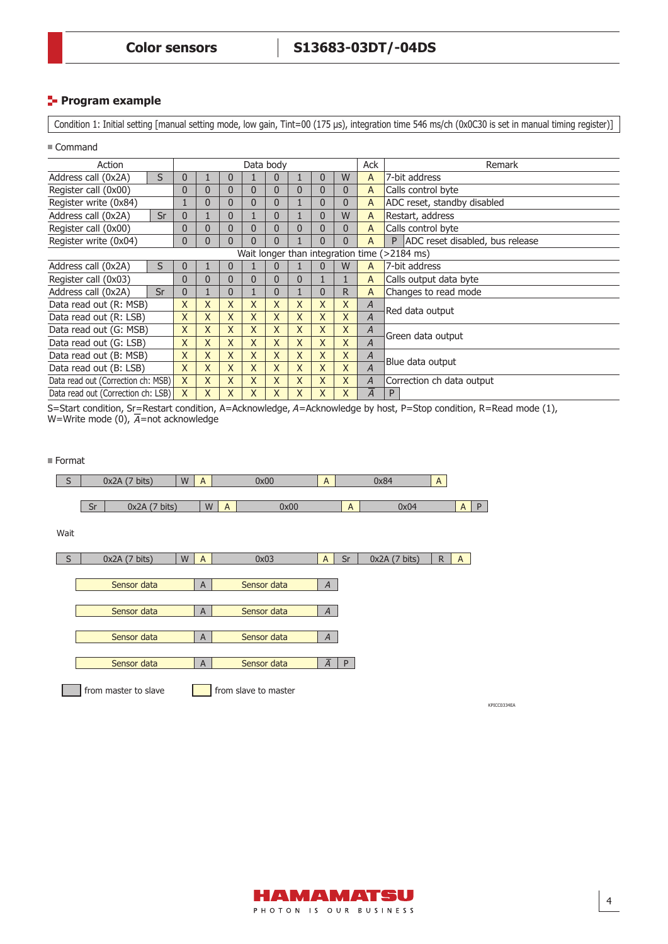#### **Program example**

Condition 1: Initial setting [manual setting mode, low gain, Tint=00 (175 μs), integration time 546 ms/ch (0x0C30 is set in manual timing register)]

Command

| Action                             |    |                |   |              |   | Data body    |              |   |   | Ack            | Remark                                       |
|------------------------------------|----|----------------|---|--------------|---|--------------|--------------|---|---|----------------|----------------------------------------------|
| Address call (0x2A)                | S  | 0              |   | 0            |   | 0            |              | 0 | W | A              | 7-bit address                                |
| Register call (0x00)               |    | 0              | 0 | 0            | 0 | 0            | 0            | 0 | 0 | A              | Calls control byte                           |
| Register write (0x84)              |    | 1              | 0 | $\mathbf{0}$ | 0 | 0            |              | 0 | 0 | A              | ADC reset, standby disabled                  |
| Address call (0x2A)                | Sr | $\overline{0}$ | 1 | $\mathbf{0}$ |   | 0            |              | 0 | W | A              | Restart, address                             |
| Register call (0x00)               |    | $\mathbf{0}$   | 0 | $\mathbf{0}$ | 0 | 0            | $\Omega$     | 0 | 0 | A              | Calls control byte                           |
| Register write (0x04)              |    | $\mathbf{0}$   | 0 | $\mathbf{0}$ | 0 | 0            |              | 0 | 0 | A              | ADC reset disabled, bus release<br>P         |
|                                    |    |                |   |              |   |              |              |   |   |                | Wait longer than integration time (>2184 ms) |
| Address call (0x2A)                | S  | 0              | T | 0            |   | 0            |              | 0 | W | A              | 7-bit address                                |
| Register call (0x03)               |    | 0              | 0 | 0            | 0 | 0            | $\mathbf{0}$ |   |   | A              | Calls output data byte                       |
| Address call (0x2A)                | Sr | $\overline{0}$ | T | $\mathbf{0}$ |   | 0            |              | 0 | R | A              | Changes to read mode                         |
| Data read out (R: MSB)             |    | X              | X | X            | X | X            | X            | X | X | A              | Red data output                              |
| Data read out (R: LSB)             |    | X              | X | $\times$     | X | X            | X            | X | X | $\overline{A}$ |                                              |
| Data read out (G: MSB)             |    | X              | X | $\mathsf{X}$ | X | X            | X            | X | X | A              | Green data output                            |
| Data read out (G: LSB)             |    | X              | X | $\mathsf{X}$ | X | X            | X            | X | X | $\overline{A}$ |                                              |
| Data read out (B: MSB)             |    | X              | X | X            | X | $\mathsf{X}$ | X            | X | X | Α              | Blue data output                             |
| Data read out (B: LSB)             |    | $\mathsf{X}$   | X | X            | X | $\mathsf{X}$ | X            | X | X | $\overline{A}$ |                                              |
| Data read out (Correction ch: MSB) |    | X              | X | X            | X | X            | X            | X | X | $\overline{A}$ | Correction ch data output                    |
| Data read out (Correction ch: LSB) |    | X              | X | X            | X | $\mathsf{X}$ | X            | X | X | $\overline{A}$ | P                                            |

-<br>S=Start condition, Sr=Restart condition, A=Acknowledge, A=Acknowledge by host, P=Stop condition, R=Read mode (1),<br>W=Write mode (0), A=not acknowledge W=Write mode (0),  $\overline{A}$ =not acknowledge

| Format |    |                      |   |                |                |                      |                |              |              |              |              |             |
|--------|----|----------------------|---|----------------|----------------|----------------------|----------------|--------------|--------------|--------------|--------------|-------------|
| S      |    | 0x2A(7 bits)         | W | $\overline{A}$ |                | 0x00                 | $\mathsf{A}$   |              | 0x84         | $\mathsf{A}$ |              |             |
|        |    |                      |   |                |                |                      |                |              |              |              |              |             |
|        | Sr | 0x2A(7 bits)         |   | W              | $\overline{A}$ | 0x00                 |                | $\mathsf{A}$ | 0x04         |              | $A \mid$     | P           |
|        |    |                      |   |                |                |                      |                |              |              |              |              |             |
| Wait   |    |                      |   |                |                |                      |                |              |              |              |              |             |
|        |    |                      |   |                |                |                      |                |              |              |              |              |             |
| S      |    | 0x2A(7 bits)         | W | $\overline{A}$ |                | 0x03                 | A              | Sr           | 0x2A(7 bits) | $\mathsf{R}$ | $\mathsf{A}$ |             |
|        |    |                      |   |                |                |                      |                |              |              |              |              |             |
|        |    | Sensor data          |   | $\overline{A}$ |                | Sensor data          | $\overline{A}$ |              |              |              |              |             |
|        |    |                      |   |                |                |                      |                |              |              |              |              |             |
|        |    | Sensor data          |   | A              |                | Sensor data          | $\overline{A}$ |              |              |              |              |             |
|        |    |                      |   |                |                |                      |                |              |              |              |              |             |
|        |    | Sensor data          |   | $\overline{A}$ |                | Sensor data          | $\overline{A}$ |              |              |              |              |             |
|        |    |                      |   |                |                |                      |                |              |              |              |              |             |
|        |    | Sensor data          |   | $\overline{A}$ |                | Sensor data          | $\overline{A}$ | P            |              |              |              |             |
|        |    | from master to slave |   |                |                | from slave to master |                |              |              |              |              | KPICC0334EA |
|        |    |                      |   |                |                |                      |                |              |              |              |              |             |

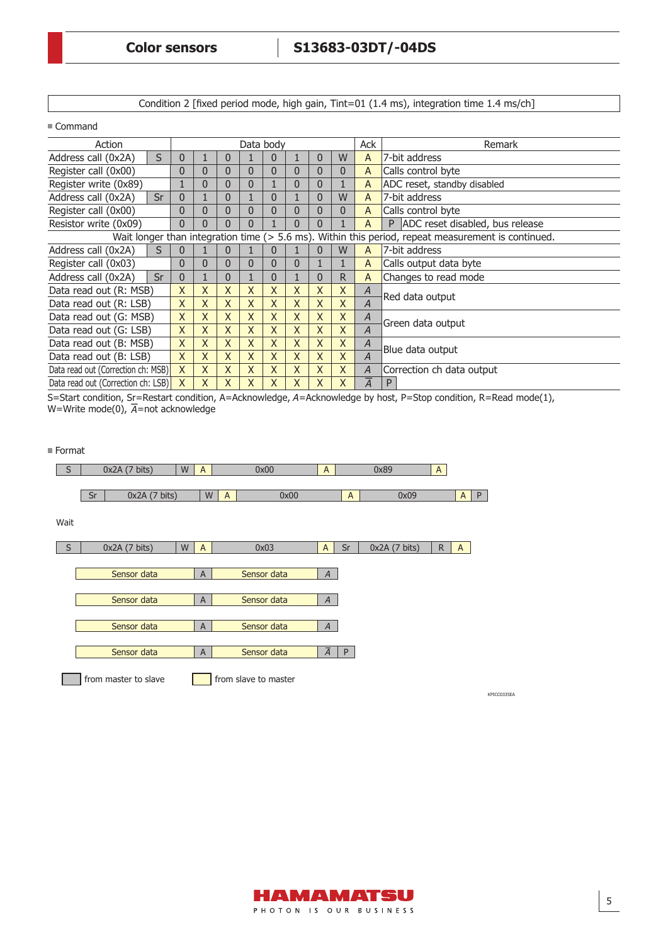Condition 2 [fixed period mode, high gain, Tint=01 (1.4 ms), integration time 1.4 ms/ch]

■ Command

| Action                             |              |                |              |              | Data body      |                |              |              | Ack            | Remark                                                                                             |
|------------------------------------|--------------|----------------|--------------|--------------|----------------|----------------|--------------|--------------|----------------|----------------------------------------------------------------------------------------------------|
| S<br>Address call (0x2A)           | 0            |                | 0            |              | $\bf{0}$       |                | 0            | W            | A              | 7-bit address                                                                                      |
| Register call (0x00)               | 0            | $\Omega$       | 0            | 0            | 0              | 0              | 0            | 0            | A              | Calls control byte                                                                                 |
| Register write (0x89)              |              | $\overline{0}$ | 0            | $\mathbf{0}$ |                | $\overline{0}$ | 0            |              | A              | ADC reset, standby disabled                                                                        |
| Address call (0x2A)<br>Sr          | $\mathbf{0}$ |                | $\mathbf{0}$ |              | $\mathbf{0}$   |                | 0            | W            | A              | 7-bit address                                                                                      |
| Register call (0x00)               | 0            | $\overline{0}$ | $\Omega$     | $\mathbf{0}$ | $\overline{0}$ | $\overline{0}$ | $\mathbf{0}$ | 0            | A              | Calls control byte                                                                                 |
| Resistor write (0x09)              | $\Omega$     | 0              | 0            | 0            |                | 0              | 0            |              | А              | ADC reset disabled, bus release<br>P                                                               |
|                                    |              |                |              |              |                |                |              |              |                | Wait longer than integration time (> 5.6 ms). Within this period, repeat measurement is continued. |
| Address call (0x2A)<br>S           | 0            |                | 0            |              | $\Omega$       |                | 0            | W            | A              | 7-bit address                                                                                      |
| Register call (0x03)               | $\mathbf{0}$ | $\mathbf{0}$   | $\mathbf{0}$ | $\mathbf{0}$ | $\mathbf{0}$   | $\mathbf{0}$   |              |              | A              | Calls output data byte                                                                             |
| Sr<br>Address call (0x2A)          | $\mathbf{0}$ |                | $\mathbf{0}$ |              | 0              |                | 0            | $\mathsf{R}$ | A              | Changes to read mode                                                                               |
| Data read out (R: MSB)             | $\mathsf{X}$ | $\mathsf{X}$   | X            | X            | X              | X              | X            | X            | $\overline{A}$ | Red data output                                                                                    |
| Data read out (R: LSB)             | $\mathsf{X}$ | $\mathsf{x}$   | X            | X            | X              | X              | X            | X            | $\overline{A}$ |                                                                                                    |
| Data read out (G: MSB)             | $\chi$       | X              | X            | X            | X              | X              | X            | X            | A              | Green data output                                                                                  |
| Data read out (G: LSB)             | $\chi$       | X              | X            | X            | X              | X              | X            | X            | $\overline{A}$ |                                                                                                    |
| Data read out (B: MSB)             | X            | $\sf X$        | X            | X            | $\mathsf{X}$   | X              | X            | X            | A              | Blue data output                                                                                   |
| Data read out (B: LSB)             | $\chi$       | $\sf X$        | X            | X            | X              | X              | X            | X            | $\overline{A}$ |                                                                                                    |
| Data read out (Correction ch: MSB) | $\mathsf{X}$ | $\chi$         | X            | X            | X              | X              | X            | X            | A              | Correction ch data output                                                                          |
| Data read out (Correction ch: LSB) | X            | X              | X            | X            | X              | X              | X.           | X            | $\overline{A}$ | P                                                                                                  |

-<br>S=Start condition, Sr=Restart condition, A=Acknowledge, A=Acknowledge by host, P=Stop condition, R=Read mode(1),<br>W=Write mode(0), A=not acknowledge W=Write mode(0),  $\overline{A}$ =not acknowledge

 $\blacksquare$  Format



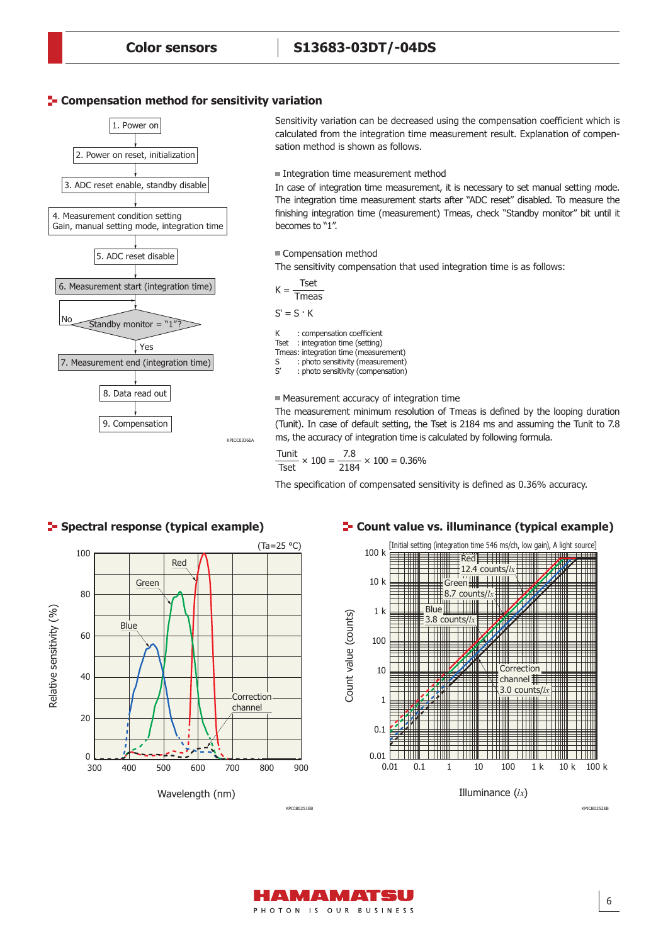#### **E-** Compensation method for sensitivity variation



Sensitivity variation can be decreased using the compensation coefficient which is calculated from the integration time measurement result. Explanation of compensation method is shown as follows.

Integration time measurement method

In case of integration time measurement, it is necessary to set manual setting mode. The integration time measurement starts after "ADC reset" disabled. To measure the finishing integration time (measurement) Tmeas, check "Standby monitor" bit until it becomes to "1".

Compensation method

The sensitivity compensation that used integration time is as follows:

K : compensation coefficient Tset : integration time (setting) Tmeas: integration time (measurement)<br>S : photo sensitivity (measurement) S : photo sensitivity (measurement)<br>S' : photo sensitivity (compensation) : photo sensitivity (compensation)  $K = \frac{Test}{}$ Tmeas  $S' = S \cdot K$ 

Measurement accuracy of integration time

The measurement minimum resolution of Tmeas is defined by the looping duration (Tunit). In case of default setting, the Tset is 2184 ms and assuming the Tunit to 7.8 ms, the accuracy of integration time is calculated by following formula.

$$
\frac{\text{Tunit}}{\text{Test}} \times 100 = \frac{7.8}{2184} \times 100 = 0.36\%
$$

The specification of compensated sensitivity is defined as 0.36% accuracy.



#### **F** Spectral response (typical example)

#### **Count value vs. illuminance (typical example)**



KPICB0252EB

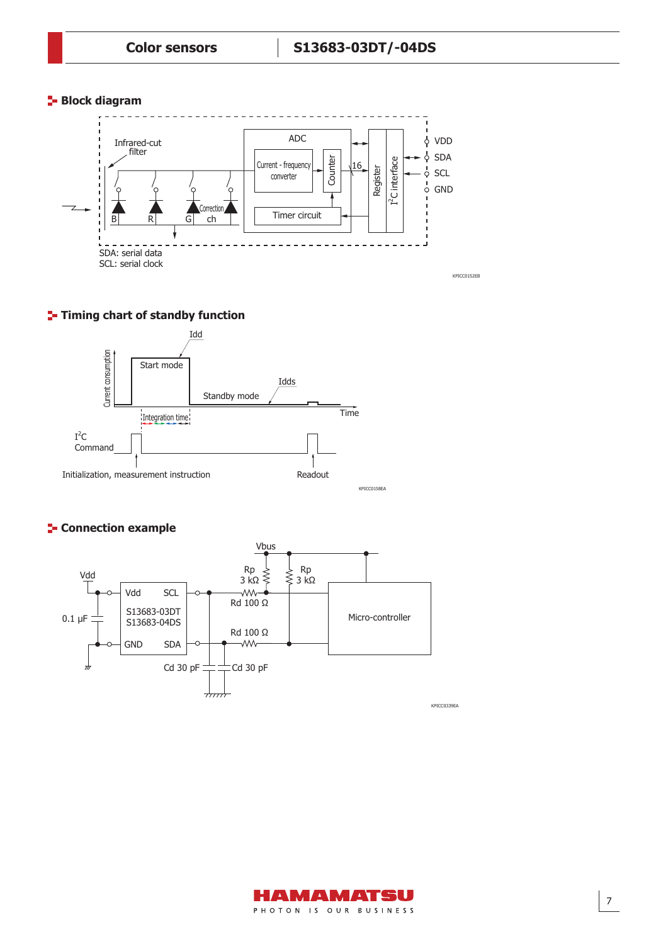## **Block diagram**



# **T**-Timing chart of standby function



# **F** Connection example



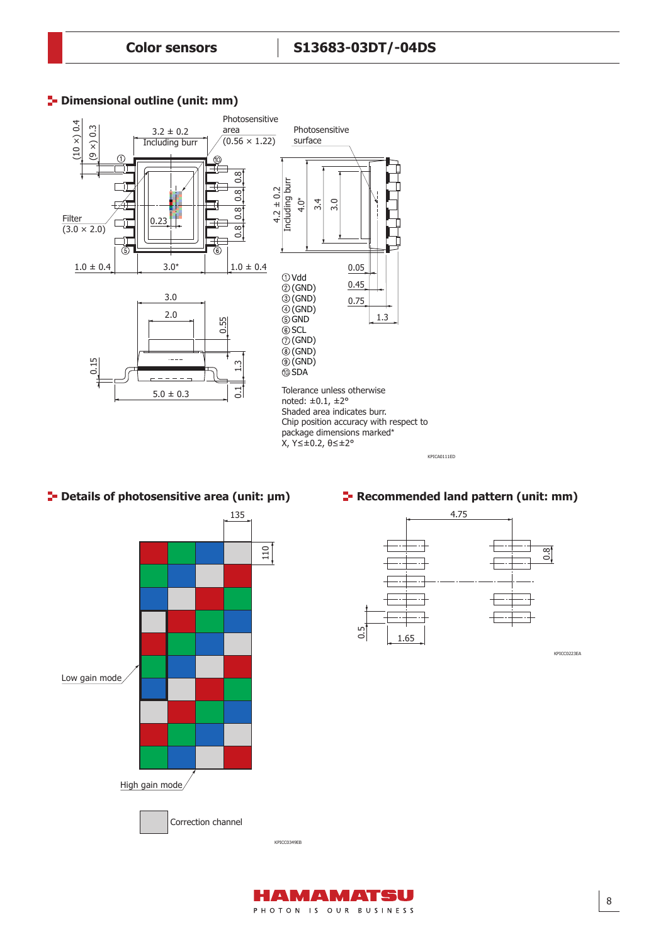# **<sup>1</sup>** Dimensional outline (unit: mm)



# **Details of photosensitive area (unit: μm)**



#### **Recommended land pattern (unit: mm)**

KPICA0111ED

![](_page_7_Figure_7.jpeg)

KPICC0223EA

![](_page_7_Picture_9.jpeg)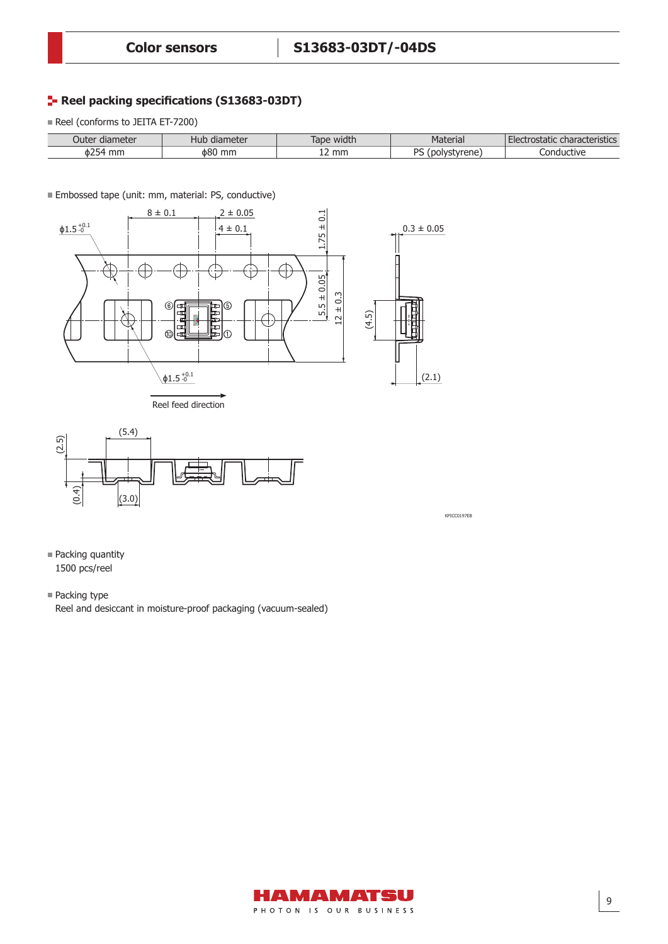# **Reel packing specifications (S13683-03DT)**

Reel (conforms to JEITA ET-7200)

| Juter<br>mete<br>(IId     | ietei<br>nud<br>-117 | $\cdots$<br>חר<br>widu.<br>lav | 11 Id            | $\sim$ $\sim$<br>Stics |
|---------------------------|----------------------|--------------------------------|------------------|------------------------|
| $\overline{a} =$<br>- Φ∠. | ነጸሌ<br>mm.           | mm                             | DC<br>rronc<br>ີ | rive                   |

**Embossed tape (unit: mm, material: PS, conductive)** 

![](_page_8_Figure_6.jpeg)

![](_page_8_Figure_7.jpeg)

![](_page_8_Figure_8.jpeg)

KPICC0197EB

- Packing quantity 1500 pcs/reel
- Packing type

Reel and desiccant in moisture-proof packaging (vacuum-sealed)

![](_page_8_Picture_13.jpeg)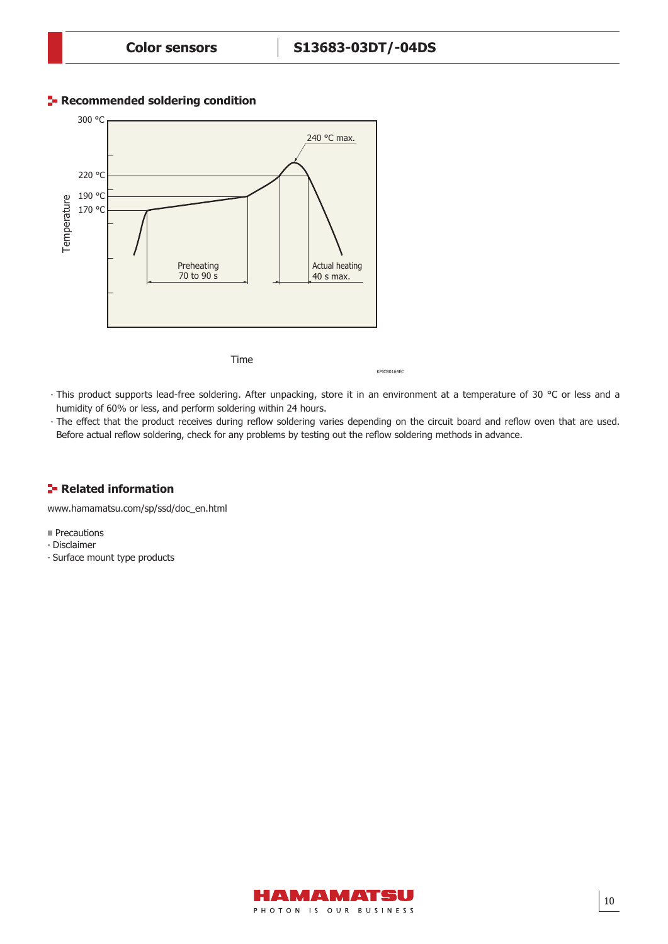# **Recommended soldering condition**

![](_page_9_Figure_3.jpeg)

Time

KPICB0164EC

- ∙ This product supports lead-free soldering. After unpacking, store it in an environment at a temperature of 30 °C or less and a humidity of 60% or less, and perform soldering within 24 hours.
- The effect that the product receives during reflow soldering varies depending on the circuit board and reflow oven that are used. Before actual reflow soldering, check for any problems by testing out the reflow soldering methods in advance.

# **F**-Related information

www.hamamatsu.com/sp/ssd/doc\_en.html

**Precautions** 

- ∙ Disclaimer
- ∙ Surface mount type products

![](_page_9_Picture_13.jpeg)